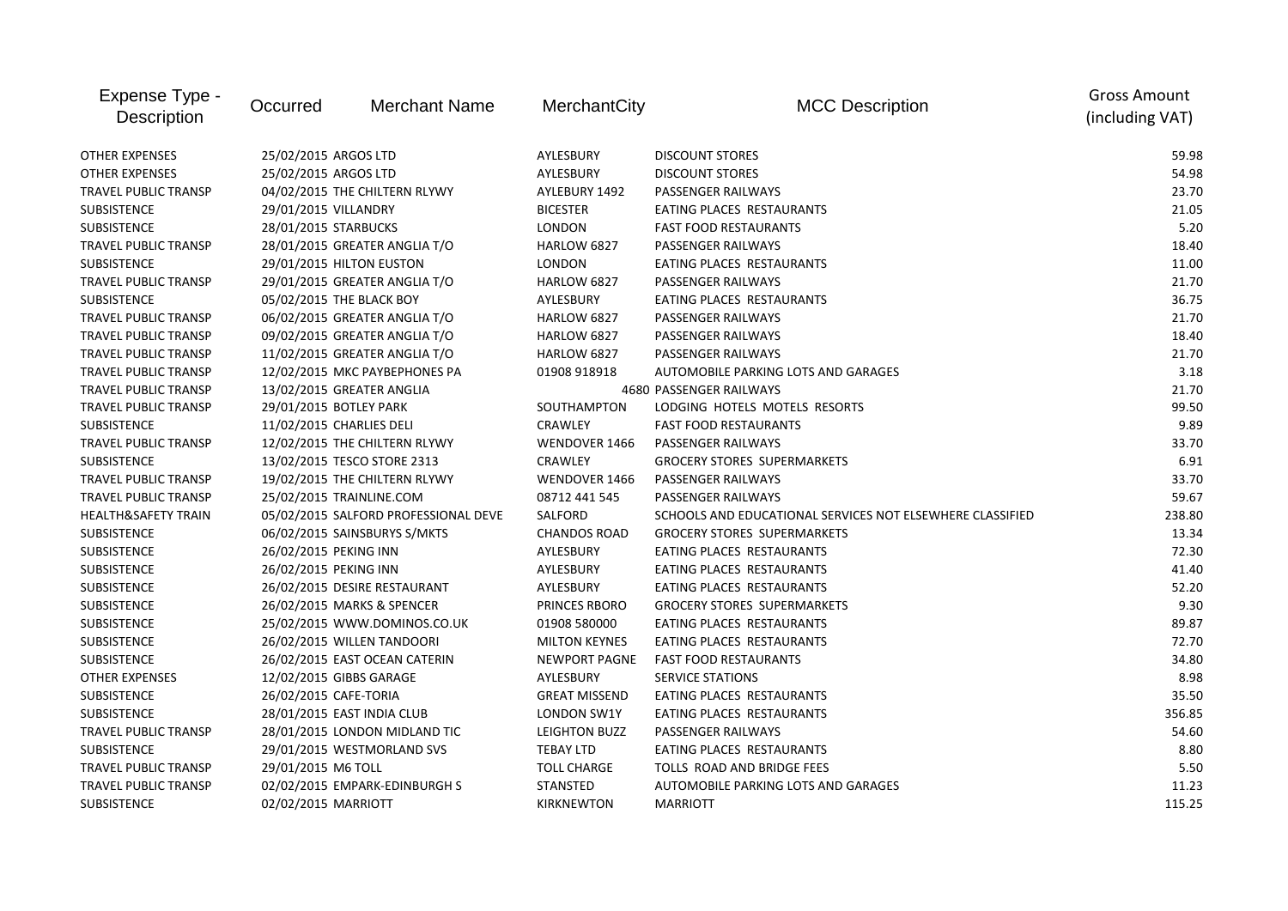| Expense Type -<br><b>Description</b> | Occurred                      | <b>Merchant Name</b>                 | MerchantCity         | <b>MCC Description</b>                                    | <b>Gross Amount</b><br>(including VAT) |
|--------------------------------------|-------------------------------|--------------------------------------|----------------------|-----------------------------------------------------------|----------------------------------------|
| <b>OTHER EXPENSES</b>                | 25/02/2015 ARGOS LTD          |                                      | AYLESBURY            | <b>DISCOUNT STORES</b>                                    | 59.98                                  |
| <b>OTHER EXPENSES</b>                | 25/02/2015 ARGOS LTD          |                                      | AYLESBURY            | <b>DISCOUNT STORES</b>                                    | 54.98                                  |
| <b>TRAVEL PUBLIC TRANSP</b>          | 04/02/2015 THE CHILTERN RLYWY |                                      | AYLEBURY 1492        | PASSENGER RAILWAYS                                        | 23.70                                  |
| <b>SUBSISTENCE</b>                   | 29/01/2015 VILLANDRY          |                                      | <b>BICESTER</b>      | EATING PLACES RESTAURANTS                                 | 21.05                                  |
| <b>SUBSISTENCE</b>                   | 28/01/2015 STARBUCKS          |                                      | <b>LONDON</b>        | <b>FAST FOOD RESTAURANTS</b>                              | 5.20                                   |
| <b>TRAVEL PUBLIC TRANSP</b>          |                               | 28/01/2015 GREATER ANGLIA T/O        | HARLOW 6827          | PASSENGER RAILWAYS                                        | 18.40                                  |
| SUBSISTENCE                          |                               | 29/01/2015 HILTON EUSTON             | <b>LONDON</b>        | EATING PLACES RESTAURANTS                                 | 11.00                                  |
| <b>TRAVEL PUBLIC TRANSP</b>          |                               | 29/01/2015 GREATER ANGLIA T/O        | <b>HARLOW 6827</b>   | PASSENGER RAILWAYS                                        | 21.70                                  |
| SUBSISTENCE                          | 05/02/2015 THE BLACK BOY      |                                      | AYLESBURY            | EATING PLACES RESTAURANTS                                 | 36.75                                  |
| <b>TRAVEL PUBLIC TRANSP</b>          |                               | 06/02/2015 GREATER ANGLIA T/O        | <b>HARLOW 6827</b>   | PASSENGER RAILWAYS                                        | 21.70                                  |
| <b>TRAVEL PUBLIC TRANSP</b>          |                               | 09/02/2015 GREATER ANGLIA T/O        | HARLOW 6827          | <b>PASSENGER RAILWAYS</b>                                 | 18.40                                  |
| <b>TRAVEL PUBLIC TRANSP</b>          |                               | 11/02/2015 GREATER ANGLIA T/O        | HARLOW 6827          | PASSENGER RAILWAYS                                        | 21.70                                  |
| TRAVEL PUBLIC TRANSP                 |                               | 12/02/2015 MKC PAYBEPHONES PA        | 01908 918918         | AUTOMOBILE PARKING LOTS AND GARAGES                       | 3.18                                   |
| <b>TRAVEL PUBLIC TRANSP</b>          |                               | 13/02/2015 GREATER ANGLIA            |                      | 4680 PASSENGER RAILWAYS                                   | 21.70                                  |
| <b>TRAVEL PUBLIC TRANSP</b>          | 29/01/2015 BOTLEY PARK        |                                      | SOUTHAMPTON          | LODGING HOTELS MOTELS RESORTS                             | 99.50                                  |
| <b>SUBSISTENCE</b>                   | 11/02/2015 CHARLIES DELI      |                                      | <b>CRAWLEY</b>       | <b>FAST FOOD RESTAURANTS</b>                              | 9.89                                   |
| <b>TRAVEL PUBLIC TRANSP</b>          |                               | 12/02/2015 THE CHILTERN RLYWY        | WENDOVER 1466        | PASSENGER RAILWAYS                                        | 33.70                                  |
| <b>SUBSISTENCE</b>                   |                               | 13/02/2015 TESCO STORE 2313          | <b>CRAWLEY</b>       | <b>GROCERY STORES SUPERMARKETS</b>                        | 6.91                                   |
| <b>TRAVEL PUBLIC TRANSP</b>          |                               | 19/02/2015 THE CHILTERN RLYWY        | WENDOVER 1466        | <b>PASSENGER RAILWAYS</b>                                 | 33.70                                  |
| <b>TRAVEL PUBLIC TRANSP</b>          | 25/02/2015 TRAINLINE.COM      |                                      | 08712 441 545        | PASSENGER RAILWAYS                                        | 59.67                                  |
| <b>HEALTH&amp;SAFETY TRAIN</b>       |                               | 05/02/2015 SALFORD PROFESSIONAL DEVE | SALFORD              | SCHOOLS AND EDUCATIONAL SERVICES NOT ELSEWHERE CLASSIFIED | 238.80                                 |
| <b>SUBSISTENCE</b>                   |                               | 06/02/2015 SAINSBURYS S/MKTS         | <b>CHANDOS ROAD</b>  | <b>GROCERY STORES SUPERMARKETS</b>                        | 13.34                                  |
| <b>SUBSISTENCE</b>                   | 26/02/2015 PEKING INN         |                                      | AYLESBURY            | EATING PLACES RESTAURANTS                                 | 72.30                                  |
| <b>SUBSISTENCE</b>                   | 26/02/2015 PEKING INN         |                                      | AYLESBURY            | EATING PLACES RESTAURANTS                                 | 41.40                                  |
| <b>SUBSISTENCE</b>                   |                               | 26/02/2015 DESIRE RESTAURANT         | AYLESBURY            | EATING PLACES RESTAURANTS                                 | 52.20                                  |
| <b>SUBSISTENCE</b>                   |                               | 26/02/2015 MARKS & SPENCER           | PRINCES RBORO        | <b>GROCERY STORES SUPERMARKETS</b>                        | 9.30                                   |
| <b>SUBSISTENCE</b>                   |                               | 25/02/2015 WWW.DOMINOS.CO.UK         | 01908 580000         | EATING PLACES RESTAURANTS                                 | 89.87                                  |
| <b>SUBSISTENCE</b>                   |                               | 26/02/2015 WILLEN TANDOORI           | <b>MILTON KEYNES</b> | EATING PLACES RESTAURANTS                                 | 72.70                                  |
| <b>SUBSISTENCE</b>                   |                               | 26/02/2015 EAST OCEAN CATERIN        | NEWPORT PAGNE        | <b>FAST FOOD RESTAURANTS</b>                              | 34.80                                  |
| <b>OTHER EXPENSES</b>                | 12/02/2015 GIBBS GARAGE       |                                      | AYLESBURY            | <b>SERVICE STATIONS</b>                                   | 8.98                                   |
| <b>SUBSISTENCE</b>                   | 26/02/2015 CAFE-TORIA         |                                      | <b>GREAT MISSEND</b> | EATING PLACES RESTAURANTS                                 | 35.50                                  |
| <b>SUBSISTENCE</b>                   |                               | 28/01/2015 EAST INDIA CLUB           | LONDON SW1Y          | EATING PLACES RESTAURANTS                                 | 356.85                                 |
| <b>TRAVEL PUBLIC TRANSP</b>          |                               | 28/01/2015 LONDON MIDLAND TIC        | LEIGHTON BUZZ        | PASSENGER RAILWAYS                                        | 54.60                                  |
| <b>SUBSISTENCE</b>                   |                               | 29/01/2015 WESTMORLAND SVS           | <b>TEBAY LTD</b>     | EATING PLACES RESTAURANTS                                 | 8.80                                   |
| <b>TRAVEL PUBLIC TRANSP</b>          | 29/01/2015 M6 TOLL            |                                      | <b>TOLL CHARGE</b>   | TOLLS ROAD AND BRIDGE FEES                                | 5.50                                   |
| <b>TRAVEL PUBLIC TRANSP</b>          |                               | 02/02/2015 EMPARK-EDINBURGH S        | <b>STANSTED</b>      | AUTOMOBILE PARKING LOTS AND GARAGES                       | 11.23                                  |
| <b>SUBSISTENCE</b>                   | 02/02/2015 MARRIOTT           |                                      | KIRKNEWTON           | <b>MARRIOTT</b>                                           | 115.25                                 |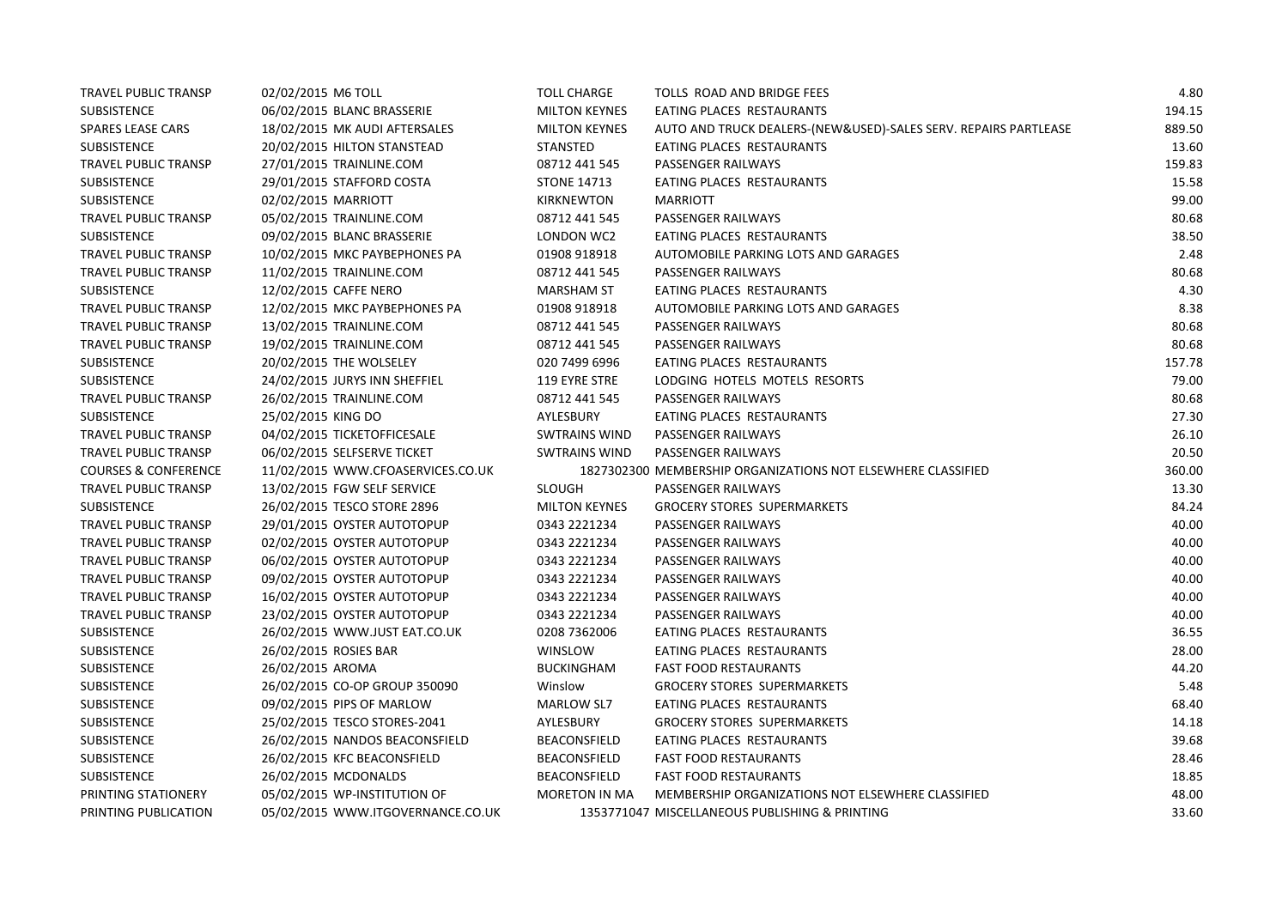| <b>TRAVEL PUBLIC TRANSP</b>     | 02/02/2015 M6 TOLL                | <b>TOLL CHARGE</b>   | TOLLS ROAD AND BRIDGE FEES                                      | 4.80   |
|---------------------------------|-----------------------------------|----------------------|-----------------------------------------------------------------|--------|
| <b>SUBSISTENCE</b>              | 06/02/2015 BLANC BRASSERIE        | <b>MILTON KEYNES</b> | EATING PLACES RESTAURANTS                                       | 194.15 |
| <b>SPARES LEASE CARS</b>        | 18/02/2015 MK AUDI AFTERSALES     | <b>MILTON KEYNES</b> | AUTO AND TRUCK DEALERS-(NEW&USED)-SALES SERV. REPAIRS PARTLEASE | 889.50 |
| <b>SUBSISTENCE</b>              | 20/02/2015 HILTON STANSTEAD       | <b>STANSTED</b>      | EATING PLACES RESTAURANTS                                       | 13.60  |
| <b>TRAVEL PUBLIC TRANSP</b>     | 27/01/2015 TRAINLINE.COM          | 08712 441 545        | PASSENGER RAILWAYS                                              | 159.83 |
| SUBSISTENCE                     | 29/01/2015 STAFFORD COSTA         | <b>STONE 14713</b>   | EATING PLACES RESTAURANTS                                       | 15.58  |
| <b>SUBSISTENCE</b>              | 02/02/2015 MARRIOTT               | KIRKNEWTON           | <b>MARRIOTT</b>                                                 | 99.00  |
| <b>TRAVEL PUBLIC TRANSP</b>     | 05/02/2015 TRAINLINE.COM          | 08712 441 545        | PASSENGER RAILWAYS                                              | 80.68  |
| SUBSISTENCE                     | 09/02/2015 BLANC BRASSERIE        | LONDON WC2           | EATING PLACES RESTAURANTS                                       | 38.50  |
| TRAVEL PUBLIC TRANSP            | 10/02/2015 MKC PAYBEPHONES PA     | 01908 918918         | AUTOMOBILE PARKING LOTS AND GARAGES                             | 2.48   |
| TRAVEL PUBLIC TRANSP            | 11/02/2015 TRAINLINE.COM          | 08712 441 545        | PASSENGER RAILWAYS                                              | 80.68  |
| <b>SUBSISTENCE</b>              | 12/02/2015 CAFFE NERO             | <b>MARSHAM ST</b>    | EATING PLACES RESTAURANTS                                       | 4.30   |
| <b>TRAVEL PUBLIC TRANSP</b>     | 12/02/2015 MKC PAYBEPHONES PA     | 01908 918918         | AUTOMOBILE PARKING LOTS AND GARAGES                             | 8.38   |
| TRAVEL PUBLIC TRANSP            | 13/02/2015 TRAINLINE.COM          | 08712 441 545        | PASSENGER RAILWAYS                                              | 80.68  |
| <b>TRAVEL PUBLIC TRANSP</b>     | 19/02/2015 TRAINLINE.COM          | 08712 441 545        | PASSENGER RAILWAYS                                              | 80.68  |
| SUBSISTENCE                     | 20/02/2015 THE WOLSELEY           | 020 7499 6996        | EATING PLACES RESTAURANTS                                       | 157.78 |
| <b>SUBSISTENCE</b>              | 24/02/2015 JURYS INN SHEFFIEL     | 119 EYRE STRE        | LODGING HOTELS MOTELS RESORTS                                   | 79.00  |
| TRAVEL PUBLIC TRANSP            | 26/02/2015 TRAINLINE.COM          | 08712 441 545        | PASSENGER RAILWAYS                                              | 80.68  |
| <b>SUBSISTENCE</b>              | 25/02/2015 KING DO                | AYLESBURY            | EATING PLACES RESTAURANTS                                       | 27.30  |
| TRAVEL PUBLIC TRANSP            | 04/02/2015 TICKETOFFICESALE       | <b>SWTRAINS WIND</b> | PASSENGER RAILWAYS                                              | 26.10  |
| TRAVEL PUBLIC TRANSP            | 06/02/2015 SELFSERVE TICKET       | <b>SWTRAINS WIND</b> | PASSENGER RAILWAYS                                              | 20.50  |
| <b>COURSES &amp; CONFERENCE</b> | 11/02/2015 WWW.CFOASERVICES.CO.UK |                      | 1827302300 MEMBERSHIP ORGANIZATIONS NOT ELSEWHERE CLASSIFIED    | 360.00 |
| <b>TRAVEL PUBLIC TRANSP</b>     | 13/02/2015 FGW SELF SERVICE       | <b>SLOUGH</b>        | PASSENGER RAILWAYS                                              | 13.30  |
| SUBSISTENCE                     | 26/02/2015 TESCO STORE 2896       | <b>MILTON KEYNES</b> | <b>GROCERY STORES SUPERMARKETS</b>                              | 84.24  |
| <b>TRAVEL PUBLIC TRANSP</b>     | 29/01/2015 OYSTER AUTOTOPUP       | 0343 2221234         | <b>PASSENGER RAILWAYS</b>                                       | 40.00  |
| TRAVEL PUBLIC TRANSP            | 02/02/2015 OYSTER AUTOTOPUP       | 0343 2221234         | PASSENGER RAILWAYS                                              | 40.00  |
| <b>TRAVEL PUBLIC TRANSP</b>     | 06/02/2015 OYSTER AUTOTOPUP       | 0343 2221234         | PASSENGER RAILWAYS                                              | 40.00  |
| TRAVEL PUBLIC TRANSP            | 09/02/2015 OYSTER AUTOTOPUP       | 0343 2221234         | PASSENGER RAILWAYS                                              | 40.00  |
| TRAVEL PUBLIC TRANSP            | 16/02/2015 OYSTER AUTOTOPUP       | 0343 2221234         | PASSENGER RAILWAYS                                              | 40.00  |
| TRAVEL PUBLIC TRANSP            | 23/02/2015 OYSTER AUTOTOPUP       | 0343 2221234         | PASSENGER RAILWAYS                                              | 40.00  |
| <b>SUBSISTENCE</b>              | 26/02/2015 WWW.JUST EAT.CO.UK     | 0208 7362006         | EATING PLACES RESTAURANTS                                       | 36.55  |
| <b>SUBSISTENCE</b>              | 26/02/2015 ROSIES BAR             | WINSLOW              | EATING PLACES RESTAURANTS                                       | 28.00  |
| <b>SUBSISTENCE</b>              | 26/02/2015 AROMA                  | <b>BUCKINGHAM</b>    | <b>FAST FOOD RESTAURANTS</b>                                    | 44.20  |
| SUBSISTENCE                     | 26/02/2015 CO-OP GROUP 350090     | Winslow              | <b>GROCERY STORES SUPERMARKETS</b>                              | 5.48   |
| <b>SUBSISTENCE</b>              | 09/02/2015 PIPS OF MARLOW         | MARLOW SL7           | EATING PLACES RESTAURANTS                                       | 68.40  |
| <b>SUBSISTENCE</b>              | 25/02/2015 TESCO STORES-2041      | AYLESBURY            | <b>GROCERY STORES SUPERMARKETS</b>                              | 14.18  |
| <b>SUBSISTENCE</b>              | 26/02/2015 NANDOS BEACONSFIELD    | BEACONSFIELD         | EATING PLACES RESTAURANTS                                       | 39.68  |
| SUBSISTENCE                     | 26/02/2015 KFC BEACONSFIELD       | BEACONSFIELD         | <b>FAST FOOD RESTAURANTS</b>                                    | 28.46  |
| <b>SUBSISTENCE</b>              | 26/02/2015 MCDONALDS              | BEACONSFIELD         | <b>FAST FOOD RESTAURANTS</b>                                    | 18.85  |
| PRINTING STATIONERY             | 05/02/2015 WP-INSTITUTION OF      | MORETON IN MA        | MEMBERSHIP ORGANIZATIONS NOT ELSEWHERE CLASSIFIED               | 48.00  |
| PRINTING PUBLICATION            | 05/02/2015 WWW.ITGOVERNANCE.CO.UK |                      | 1353771047 MISCELLANEOUS PUBLISHING & PRINTING                  | 33.60  |